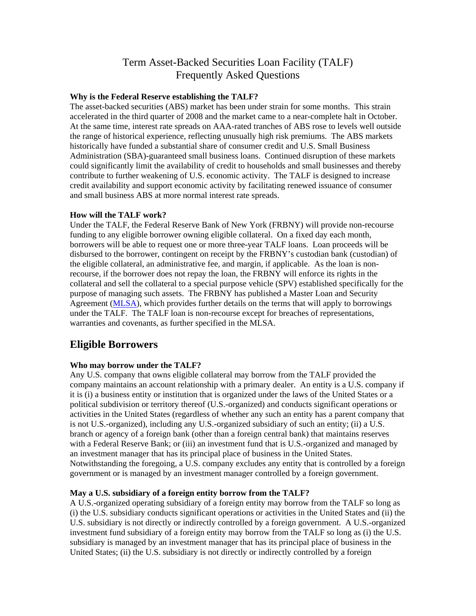# Term Asset-Backed Securities Loan Facility (TALF) Frequently Asked Questions

## **Why is the Federal Reserve establishing the TALF?**

The asset-backed securities (ABS) market has been under strain for some months. This strain accelerated in the third quarter of 2008 and the market came to a near-complete halt in October. At the same time, interest rate spreads on AAA-rated tranches of ABS rose to levels well outside the range of historical experience, reflecting unusually high risk premiums. The ABS markets historically have funded a substantial share of consumer credit and U.S. Small Business Administration (SBA)-guaranteed small business loans. Continued disruption of these markets could significantly limit the availability of credit to households and small businesses and thereby contribute to further weakening of U.S. economic activity. The TALF is designed to increase credit availability and support economic activity by facilitating renewed issuance of consumer and small business ABS at more normal interest rate spreads.

## **How will the TALF work?**

Under the TALF, the Federal Reserve Bank of New York (FRBNY) will provide non-recourse funding to any eligible borrower owning eligible collateral. On a fixed day each month, borrowers will be able to request one or more three-year TALF loans. Loan proceeds will be disbursed to the borrower, contingent on receipt by the FRBNY's custodian bank (custodian) of the eligible collateral, an administrative fee, and margin, if applicable. As the loan is nonrecourse, if the borrower does not repay the loan, the FRBNY will enforce its rights in the collateral and sell the collateral to a special purpose vehicle (SPV) established specifically for the purpose of managing such assets. The FRBNY has published a Master Loan and Security Agreement [\(MLSA\)](http://www.ny.frb.org/markets/TALF_MLSA.pdf), which provides further details on the terms that will apply to borrowings under the TALF. The TALF loan is non-recourse except for breaches of representations, warranties and covenants, as further specified in the MLSA.

# **Eligible Borrowers**

#### **Who may borrow under the TALF?**

Any U.S. company that owns eligible collateral may borrow from the TALF provided the company maintains an account relationship with a primary dealer. An entity is a U.S. company if it is (i) a business entity or institution that is organized under the laws of the United States or a political subdivision or territory thereof (U.S.-organized) and conducts significant operations or activities in the United States (regardless of whether any such an entity has a parent company that is not U.S.-organized), including any U.S.-organized subsidiary of such an entity; (ii) a U.S. branch or agency of a foreign bank (other than a foreign central bank) that maintains reserves with a Federal Reserve Bank; or (iii) an investment fund that is U.S.-organized and managed by an investment manager that has its principal place of business in the United States. Notwithstanding the foregoing, a U.S. company excludes any entity that is controlled by a foreign government or is managed by an investment manager controlled by a foreign government.

#### **May a U.S. subsidiary of a foreign entity borrow from the TALF?**

A U.S.-organized operating subsidiary of a foreign entity may borrow from the TALF so long as (i) the U.S. subsidiary conducts significant operations or activities in the United States and (ii) the U.S. subsidiary is not directly or indirectly controlled by a foreign government. A U.S.-organized investment fund subsidiary of a foreign entity may borrow from the TALF so long as (i) the U.S. subsidiary is managed by an investment manager that has its principal place of business in the United States; (ii) the U.S. subsidiary is not directly or indirectly controlled by a foreign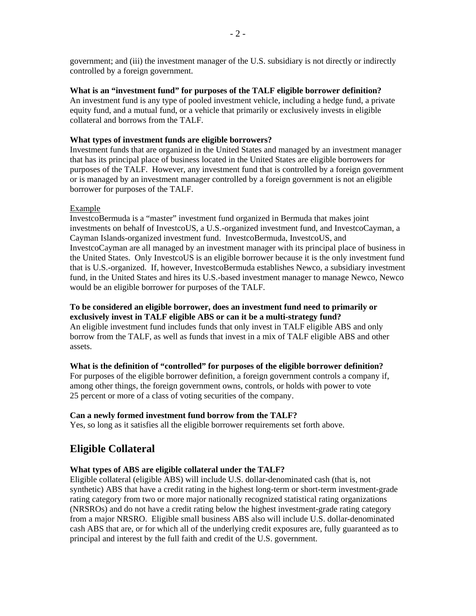government; and (iii) the investment manager of the U.S. subsidiary is not directly or indirectly controlled by a foreign government.

#### **What is an "investment fund" for purposes of the TALF eligible borrower definition?**

An investment fund is any type of pooled investment vehicle, including a hedge fund, a private equity fund, and a mutual fund, or a vehicle that primarily or exclusively invests in eligible collateral and borrows from the TALF.

#### **What types of investment funds are eligible borrowers?**

Investment funds that are organized in the United States and managed by an investment manager that has its principal place of business located in the United States are eligible borrowers for purposes of the TALF. However, any investment fund that is controlled by a foreign government or is managed by an investment manager controlled by a foreign government is not an eligible borrower for purposes of the TALF.

## Example

InvestcoBermuda is a "master" investment fund organized in Bermuda that makes joint investments on behalf of InvestcoUS, a U.S.-organized investment fund, and InvestcoCayman, a Cayman Islands-organized investment fund. InvestcoBermuda, InvestcoUS, and InvestcoCayman are all managed by an investment manager with its principal place of business in the United States. Only InvestcoUS is an eligible borrower because it is the only investment fund that is U.S.-organized. If, however, InvestcoBermuda establishes Newco, a subsidiary investment fund, in the United States and hires its U.S.-based investment manager to manage Newco, Newco would be an eligible borrower for purposes of the TALF.

#### **To be considered an eligible borrower, does an investment fund need to primarily or exclusively invest in TALF eligible ABS or can it be a multi-strategy fund?**

An eligible investment fund includes funds that only invest in TALF eligible ABS and only borrow from the TALF, as well as funds that invest in a mix of TALF eligible ABS and other assets.

#### **What is the definition of "controlled" for purposes of the eligible borrower definition?**

For purposes of the eligible borrower definition, a foreign government controls a company if, among other things, the foreign government owns, controls, or holds with power to vote 25 percent or more of a class of voting securities of the company.

### **Can a newly formed investment fund borrow from the TALF?**

Yes, so long as it satisfies all the eligible borrower requirements set forth above.

# **Eligible Collateral**

#### **What types of ABS are eligible collateral under the TALF?**

Eligible collateral (eligible ABS) will include U.S. dollar-denominated cash (that is, not synthetic) ABS that have a credit rating in the highest long-term or short-term investment-grade rating category from two or more major nationally recognized statistical rating organizations (NRSROs) and do not have a credit rating below the highest investment-grade rating category from a major NRSRO. Eligible small business ABS also will include U.S. dollar-denominated cash ABS that are, or for which all of the underlying credit exposures are, fully guaranteed as to principal and interest by the full faith and credit of the U.S. government.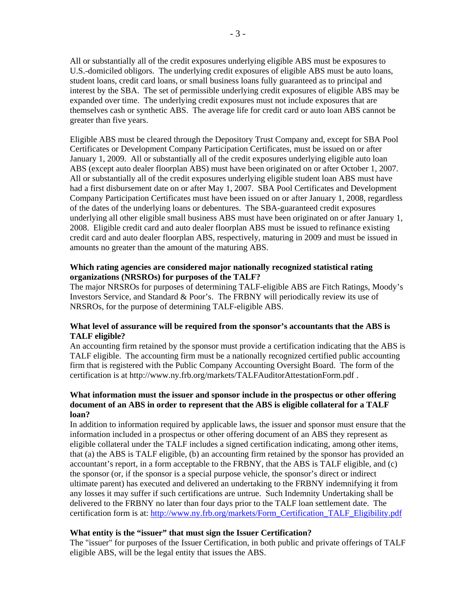All or substantially all of the credit exposures underlying eligible ABS must be exposures to U.S.-domiciled obligors. The underlying credit exposures of eligible ABS must be auto loans, student loans, credit card loans, or small business loans fully guaranteed as to principal and interest by the SBA. The set of permissible underlying credit exposures of eligible ABS may be expanded over time. The underlying credit exposures must not include exposures that are themselves cash or synthetic ABS. The average life for credit card or auto loan ABS cannot be greater than five years.

Eligible ABS must be cleared through the Depository Trust Company and, except for SBA Pool Certificates or Development Company Participation Certificates, must be issued on or after January 1, 2009. All or substantially all of the credit exposures underlying eligible auto loan ABS (except auto dealer floorplan ABS) must have been originated on or after October 1, 2007. All or substantially all of the credit exposures underlying eligible student loan ABS must have had a first disbursement date on or after May 1, 2007. SBA Pool Certificates and Development Company Participation Certificates must have been issued on or after January 1, 2008, regardless of the dates of the underlying loans or debentures. The SBA-guaranteed credit exposures underlying all other eligible small business ABS must have been originated on or after January 1, 2008. Eligible credit card and auto dealer floorplan ABS must be issued to refinance existing credit card and auto dealer floorplan ABS, respectively, maturing in 2009 and must be issued in amounts no greater than the amount of the maturing ABS.

## **Which rating agencies are considered major nationally recognized statistical rating organizations (NRSROs) for purposes of the TALF?**

The major NRSROs for purposes of determining TALF-eligible ABS are Fitch Ratings, Moody's Investors Service, and Standard & Poor's. The FRBNY will periodically review its use of NRSROs, for the purpose of determining TALF-eligible ABS.

## **What level of assurance will be required from the sponsor's accountants that the ABS is TALF eligible?**

An accounting firm retained by the sponsor must provide a certification indicating that the ABS is TALF eligible. The accounting firm must be a nationally recognized certified public accounting firm that is registered with the Public Company Accounting Oversight Board. The form of the certification is at http://www.ny.frb.org/markets/TALFAuditorAttestationForm.pdf .

## **What information must the issuer and sponsor include in the prospectus or other offering document of an ABS in order to represent that the ABS is eligible collateral for a TALF loan?**

In addition to information required by applicable laws, the issuer and sponsor must ensure that the information included in a prospectus or other offering document of an ABS they represent as eligible collateral under the TALF includes a signed certification indicating, among other items, that (a) the ABS is TALF eligible, (b) an accounting firm retained by the sponsor has provided an accountant's report, in a form acceptable to the FRBNY, that the ABS is TALF eligible, and (c) the sponsor (or, if the sponsor is a special purpose vehicle, the sponsor's direct or indirect ultimate parent) has executed and delivered an undertaking to the FRBNY indemnifying it from any losses it may suffer if such certifications are untrue. Such Indemnity Undertaking shall be delivered to the FRBNY no later than four days prior to the TALF loan settlement date. The certification form is at: [http://www.ny.frb.org/markets/Form\\_Certification\\_TALF\\_Eligibility.pdf](http://www.ny.frb.org/markets/Form_Certification_TALF_Eligibility.pdf)

## **What entity is the "issuer" that must sign the Issuer Certification?**

The "issuer" for purposes of the Issuer Certification, in both public and private offerings of TALF eligible ABS, will be the legal entity that issues the ABS.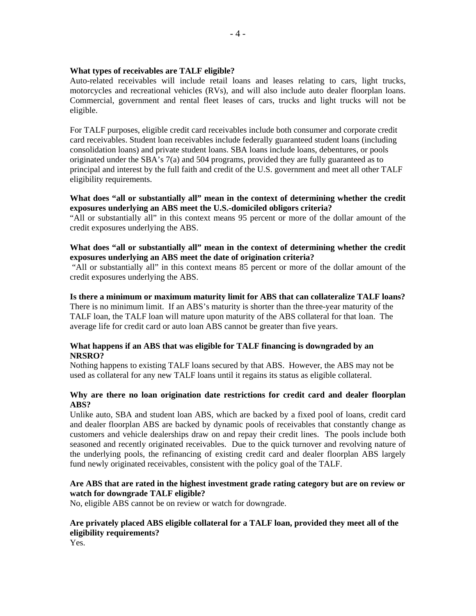## **What types of receivables are TALF eligible?**

Auto-related receivables will include retail loans and leases relating to cars, light trucks, motorcycles and recreational vehicles (RVs), and will also include auto dealer floorplan loans. Commercial, government and rental fleet leases of cars, trucks and light trucks will not be eligible.

For TALF purposes, eligible credit card receivables include both consumer and corporate credit card receivables. Student loan receivables include federally guaranteed student loans (including consolidation loans) and private student loans. SBA loans include loans, debentures, or pools originated under the SBA's 7(a) and 504 programs, provided they are fully guaranteed as to principal and interest by the full faith and credit of the U.S. government and meet all other TALF eligibility requirements.

## **What does "all or substantially all" mean in the context of determining whether the credit exposures underlying an ABS meet the U.S.-domiciled obligors criteria?**

"All or substantially all" in this context means 95 percent or more of the dollar amount of the credit exposures underlying the ABS.

## **What does "all or substantially all" mean in the context of determining whether the credit exposures underlying an ABS meet the date of origination criteria?**

 "All or substantially all" in this context means 85 percent or more of the dollar amount of the credit exposures underlying the ABS.

# **Is there a minimum or maximum maturity limit for ABS that can collateralize TALF loans?**  There is no minimum limit. If an ABS's maturity is shorter than the three-year maturity of the

TALF loan, the TALF loan will mature upon maturity of the ABS collateral for that loan. The average life for credit card or auto loan ABS cannot be greater than five years.

## **What happens if an ABS that was eligible for TALF financing is downgraded by an NRSRO?**

Nothing happens to existing TALF loans secured by that ABS. However, the ABS may not be used as collateral for any new TALF loans until it regains its status as eligible collateral.

## **Why are there no loan origination date restrictions for credit card and dealer floorplan ABS?**

Unlike auto, SBA and student loan ABS, which are backed by a fixed pool of loans, credit card and dealer floorplan ABS are backed by dynamic pools of receivables that constantly change as customers and vehicle dealerships draw on and repay their credit lines. The pools include both seasoned and recently originated receivables. Due to the quick turnover and revolving nature of the underlying pools, the refinancing of existing credit card and dealer floorplan ABS largely fund newly originated receivables, consistent with the policy goal of the TALF.

## **Are ABS that are rated in the highest investment grade rating category but are on review or watch for downgrade TALF eligible?**

No, eligible ABS cannot be on review or watch for downgrade.

## **Are privately placed ABS eligible collateral for a TALF loan, provided they meet all of the eligibility requirements?**

Yes.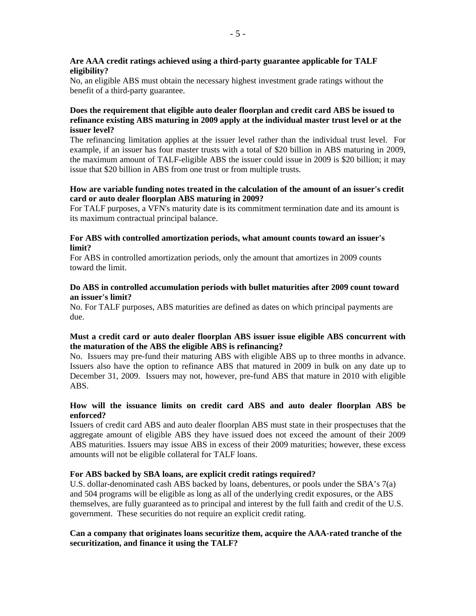## **Are AAA credit ratings achieved using a third-party guarantee applicable for TALF eligibility?**

No, an eligible ABS must obtain the necessary highest investment grade ratings without the benefit of a third-party guarantee.

## **Does the requirement that eligible auto dealer floorplan and credit card ABS be issued to refinance existing ABS maturing in 2009 apply at the individual master trust level or at the issuer level?**

The refinancing limitation applies at the issuer level rather than the individual trust level. For example, if an issuer has four master trusts with a total of \$20 billion in ABS maturing in 2009, the maximum amount of TALF-eligible ABS the issuer could issue in 2009 is \$20 billion; it may issue that \$20 billion in ABS from one trust or from multiple trusts.

## **How are variable funding notes treated in the calculation of the amount of an issuer's credit card or auto dealer floorplan ABS maturing in 2009?**

For TALF purposes, a VFN's maturity date is its commitment termination date and its amount is its maximum contractual principal balance.

## **For ABS with controlled amortization periods, what amount counts toward an issuer's limit?**

For ABS in controlled amortization periods, only the amount that amortizes in 2009 counts toward the limit.

## **Do ABS in controlled accumulation periods with bullet maturities after 2009 count toward an issuer's limit?**

No. For TALF purposes, ABS maturities are defined as dates on which principal payments are due.

## **Must a credit card or auto dealer floorplan ABS issuer issue eligible ABS concurrent with the maturation of the ABS the eligible ABS is refinancing?**

No. Issuers may pre-fund their maturing ABS with eligible ABS up to three months in advance. Issuers also have the option to refinance ABS that matured in 2009 in bulk on any date up to December 31, 2009. Issuers may not, however, pre-fund ABS that mature in 2010 with eligible ABS.

## **How will the issuance limits on credit card ABS and auto dealer floorplan ABS be enforced?**

Issuers of credit card ABS and auto dealer floorplan ABS must state in their prospectuses that the aggregate amount of eligible ABS they have issued does not exceed the amount of their 2009 ABS maturities. Issuers may issue ABS in excess of their 2009 maturities; however, these excess amounts will not be eligible collateral for TALF loans.

## **For ABS backed by SBA loans, are explicit credit ratings required?**

U.S. dollar-denominated cash ABS backed by loans, debentures, or pools under the SBA's 7(a) and 504 programs will be eligible as long as all of the underlying credit exposures, or the ABS themselves, are fully guaranteed as to principal and interest by the full faith and credit of the U.S. government. These securities do not require an explicit credit rating.

## **Can a company that originates loans securitize them, acquire the AAA-rated tranche of the securitization, and finance it using the TALF?**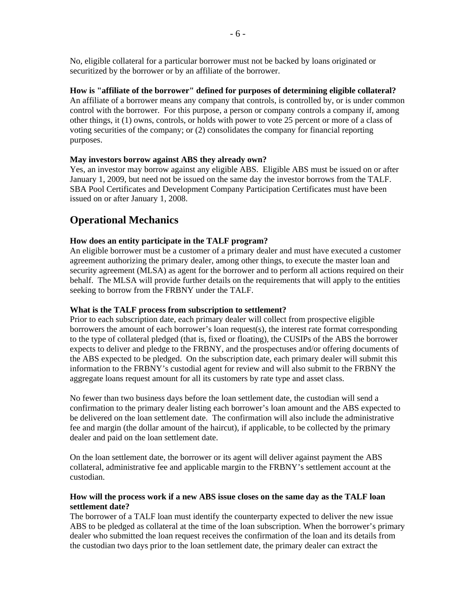No, eligible collateral for a particular borrower must not be backed by loans originated or securitized by the borrower or by an affiliate of the borrower.

**How is "affiliate of the borrower" defined for purposes of determining eligible collateral?**  An affiliate of a borrower means any company that controls, is controlled by, or is under common control with the borrower. For this purpose, a person or company controls a company if, among other things, it (1) owns, controls, or holds with power to vote 25 percent or more of a class of voting securities of the company; or (2) consolidates the company for financial reporting purposes.

## **May investors borrow against ABS they already own?**

Yes, an investor may borrow against any eligible ABS. Eligible ABS must be issued on or after January 1, 2009, but need not be issued on the same day the investor borrows from the TALF. SBA Pool Certificates and Development Company Participation Certificates must have been issued on or after January 1, 2008.

# **Operational Mechanics**

## **How does an entity participate in the TALF program?**

An eligible borrower must be a customer of a primary dealer and must have executed a customer agreement authorizing the primary dealer, among other things, to execute the master loan and security agreement (MLSA) as agent for the borrower and to perform all actions required on their behalf. The MLSA will provide further details on the requirements that will apply to the entities seeking to borrow from the FRBNY under the TALF.

## **What is the TALF process from subscription to settlement?**

Prior to each subscription date, each primary dealer will collect from prospective eligible borrowers the amount of each borrower's loan request(s), the interest rate format corresponding to the type of collateral pledged (that is, fixed or floating), the CUSIPs of the ABS the borrower expects to deliver and pledge to the FRBNY, and the prospectuses and/or offering documents of the ABS expected to be pledged. On the subscription date, each primary dealer will submit this information to the FRBNY's custodial agent for review and will also submit to the FRBNY the aggregate loans request amount for all its customers by rate type and asset class.

No fewer than two business days before the loan settlement date, the custodian will send a confirmation to the primary dealer listing each borrower's loan amount and the ABS expected to be delivered on the loan settlement date. The confirmation will also include the administrative fee and margin (the dollar amount of the haircut), if applicable, to be collected by the primary dealer and paid on the loan settlement date.

On the loan settlement date, the borrower or its agent will deliver against payment the ABS collateral, administrative fee and applicable margin to the FRBNY's settlement account at the custodian.

## **How will the process work if a new ABS issue closes on the same day as the TALF loan settlement date?**

The borrower of a TALF loan must identify the counterparty expected to deliver the new issue ABS to be pledged as collateral at the time of the loan subscription. When the borrower's primary dealer who submitted the loan request receives the confirmation of the loan and its details from the custodian two days prior to the loan settlement date, the primary dealer can extract the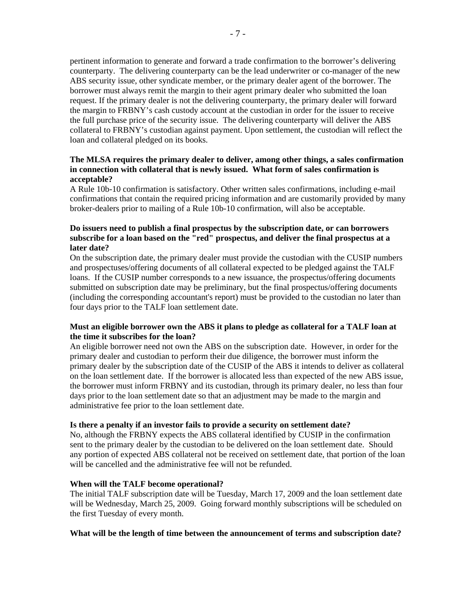pertinent information to generate and forward a trade confirmation to the borrower's delivering counterparty. The delivering counterparty can be the lead underwriter or co-manager of the new ABS security issue, other syndicate member, or the primary dealer agent of the borrower. The borrower must always remit the margin to their agent primary dealer who submitted the loan request. If the primary dealer is not the delivering counterparty, the primary dealer will forward the margin to FRBNY's cash custody account at the custodian in order for the issuer to receive the full purchase price of the security issue. The delivering counterparty will deliver the ABS collateral to FRBNY's custodian against payment. Upon settlement, the custodian will reflect the loan and collateral pledged on its books.

## **The MLSA requires the primary dealer to deliver, among other things, a sales confirmation in connection with collateral that is newly issued. What form of sales confirmation is acceptable?**

A Rule 10b-10 confirmation is satisfactory. Other written sales confirmations, including e-mail confirmations that contain the required pricing information and are customarily provided by many broker-dealers prior to mailing of a Rule 10b-10 confirmation, will also be acceptable.

## **Do issuers need to publish a final prospectus by the subscription date, or can borrowers subscribe for a loan based on the "red" prospectus, and deliver the final prospectus at a later date?**

On the subscription date, the primary dealer must provide the custodian with the CUSIP numbers and prospectuses/offering documents of all collateral expected to be pledged against the TALF loans. If the CUSIP number corresponds to a new issuance, the prospectus/offering documents submitted on subscription date may be preliminary, but the final prospectus/offering documents (including the corresponding accountant's report) must be provided to the custodian no later than four days prior to the TALF loan settlement date.

## **Must an eligible borrower own the ABS it plans to pledge as collateral for a TALF loan at the time it subscribes for the loan?**

An eligible borrower need not own the ABS on the subscription date. However, in order for the primary dealer and custodian to perform their due diligence, the borrower must inform the primary dealer by the subscription date of the CUSIP of the ABS it intends to deliver as collateral on the loan settlement date. If the borrower is allocated less than expected of the new ABS issue, the borrower must inform FRBNY and its custodian, through its primary dealer, no less than four days prior to the loan settlement date so that an adjustment may be made to the margin and administrative fee prior to the loan settlement date.

## **Is there a penalty if an investor fails to provide a security on settlement date?**

No, although the FRBNY expects the ABS collateral identified by CUSIP in the confirmation sent to the primary dealer by the custodian to be delivered on the loan settlement date. Should any portion of expected ABS collateral not be received on settlement date, that portion of the loan will be cancelled and the administrative fee will not be refunded.

#### **When will the TALF become operational?**

The initial TALF subscription date will be Tuesday, March 17, 2009 and the loan settlement date will be Wednesday, March 25, 2009. Going forward monthly subscriptions will be scheduled on the first Tuesday of every month.

#### **What will be the length of time between the announcement of terms and subscription date?**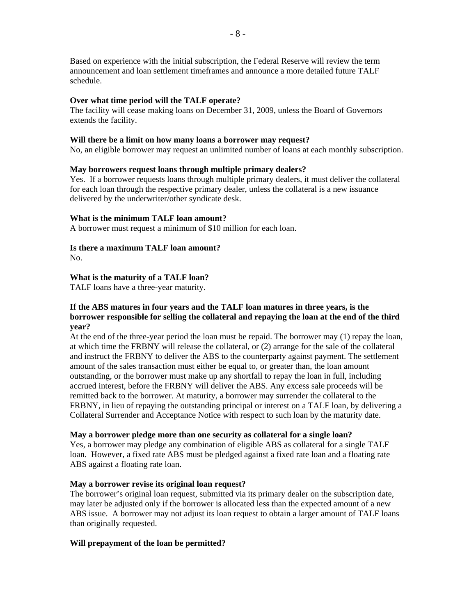Based on experience with the initial subscription, the Federal Reserve will review the term announcement and loan settlement timeframes and announce a more detailed future TALF schedule.

#### **Over what time period will the TALF operate?**

The facility will cease making loans on December 31, 2009, unless the Board of Governors extends the facility.

#### **Will there be a limit on how many loans a borrower may request?**

No, an eligible borrower may request an unlimited number of loans at each monthly subscription.

#### **May borrowers request loans through multiple primary dealers?**

Yes. If a borrower requests loans through multiple primary dealers, it must deliver the collateral for each loan through the respective primary dealer, unless the collateral is a new issuance delivered by the underwriter/other syndicate desk.

### **What is the minimum TALF loan amount?**

A borrower must request a minimum of \$10 million for each loan.

## **Is there a maximum TALF loan amount?**

No.

### **What is the maturity of a TALF loan?**

TALF loans have a three-year maturity.

## **If the ABS matures in four years and the TALF loan matures in three years, is the borrower responsible for selling the collateral and repaying the loan at the end of the third year?**

At the end of the three-year period the loan must be repaid. The borrower may (1) repay the loan, at which time the FRBNY will release the collateral, or (2) arrange for the sale of the collateral and instruct the FRBNY to deliver the ABS to the counterparty against payment. The settlement amount of the sales transaction must either be equal to, or greater than, the loan amount outstanding, or the borrower must make up any shortfall to repay the loan in full, including accrued interest, before the FRBNY will deliver the ABS. Any excess sale proceeds will be remitted back to the borrower. At maturity, a borrower may surrender the collateral to the FRBNY, in lieu of repaying the outstanding principal or interest on a TALF loan, by delivering a Collateral Surrender and Acceptance Notice with respect to such loan by the maturity date.

#### **May a borrower pledge more than one security as collateral for a single loan?**

Yes, a borrower may pledge any combination of eligible ABS as collateral for a single TALF loan. However, a fixed rate ABS must be pledged against a fixed rate loan and a floating rate ABS against a floating rate loan.

#### **May a borrower revise its original loan request?**

The borrower's original loan request, submitted via its primary dealer on the subscription date, may later be adjusted only if the borrower is allocated less than the expected amount of a new ABS issue. A borrower may not adjust its loan request to obtain a larger amount of TALF loans than originally requested.

#### **Will prepayment of the loan be permitted?**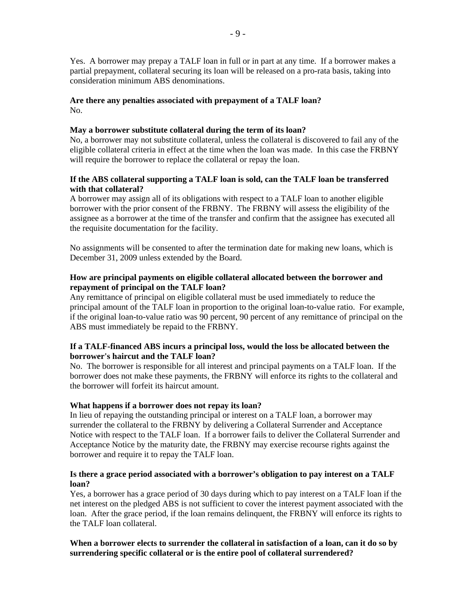Yes. A borrower may prepay a TALF loan in full or in part at any time. If a borrower makes a partial prepayment, collateral securing its loan will be released on a pro-rata basis, taking into consideration minimum ABS denominations.

## **Are there any penalties associated with prepayment of a TALF loan?**  No.

## **May a borrower substitute collateral during the term of its loan?**

No, a borrower may not substitute collateral, unless the collateral is discovered to fail any of the eligible collateral criteria in effect at the time when the loan was made. In this case the FRBNY will require the borrower to replace the collateral or repay the loan.

## **If the ABS collateral supporting a TALF loan is sold, can the TALF loan be transferred with that collateral?**

A borrower may assign all of its obligations with respect to a TALF loan to another eligible borrower with the prior consent of the FRBNY. The FRBNY will assess the eligibility of the assignee as a borrower at the time of the transfer and confirm that the assignee has executed all the requisite documentation for the facility.

No assignments will be consented to after the termination date for making new loans, which is December 31, 2009 unless extended by the Board.

## **How are principal payments on eligible collateral allocated between the borrower and repayment of principal on the TALF loan?**

Any remittance of principal on eligible collateral must be used immediately to reduce the principal amount of the TALF loan in proportion to the original loan-to-value ratio. For example, if the original loan-to-value ratio was 90 percent, 90 percent of any remittance of principal on the ABS must immediately be repaid to the FRBNY.

## **If a TALF-financed ABS incurs a principal loss, would the loss be allocated between the borrower's haircut and the TALF loan?**

No. The borrower is responsible for all interest and principal payments on a TALF loan. If the borrower does not make these payments, the FRBNY will enforce its rights to the collateral and the borrower will forfeit its haircut amount.

## **What happens if a borrower does not repay its loan?**

In lieu of repaying the outstanding principal or interest on a TALF loan, a borrower may surrender the collateral to the FRBNY by delivering a Collateral Surrender and Acceptance Notice with respect to the TALF loan. If a borrower fails to deliver the Collateral Surrender and Acceptance Notice by the maturity date, the FRBNY may exercise recourse rights against the borrower and require it to repay the TALF loan.

## **Is there a grace period associated with a borrower's obligation to pay interest on a TALF loan?**

Yes, a borrower has a grace period of 30 days during which to pay interest on a TALF loan if the net interest on the pledged ABS is not sufficient to cover the interest payment associated with the loan. After the grace period, if the loan remains delinquent, the FRBNY will enforce its rights to the TALF loan collateral.

## **When a borrower elects to surrender the collateral in satisfaction of a loan, can it do so by surrendering specific collateral or is the entire pool of collateral surrendered?**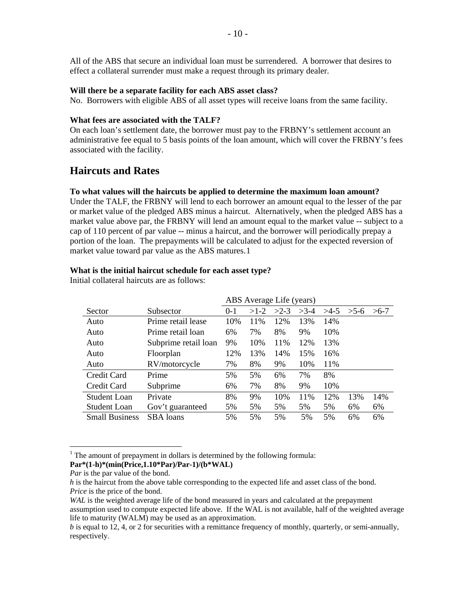All of the ABS that secure an individual loan must be surrendered. A borrower that desires to effect a collateral surrender must make a request through its primary dealer.

#### **Will there be a separate facility for each ABS asset class?**

No. Borrowers with eligible ABS of all asset types will receive loans from the same facility.

## **What fees are associated with the TALF?**

On each loan's settlement date, the borrower must pay to the FRBNY's settlement account an administrative fee equal to 5 basis points of the loan amount, which will cover the FRBNY's fees associated with the facility.

## **Haircuts and Rates**

#### **To what values will the haircuts be applied to determine the maximum loan amount?**

Under the TALF, the FRBNY will lend to each borrower an amount equal to the lesser of the par or market value of the pledged ABS minus a haircut. Alternatively, when the pledged ABS has a market value above par, the FRBNY will lend an amount equal to the market value -- subject to a cap of 110 percent of par value -- minus a haircut, and the borrower will periodically prepay a portion of the loan. The prepayments will be calculated to adjust for the expected reversion of market value toward par value as the ABS matures.[1](#page-9-0)

#### **What is the initial haircut schedule for each asset type?**

Initial collateral haircuts are as follows:

|                       |                      | ABS Average Life (years) |        |        |        |        |         |         |
|-----------------------|----------------------|--------------------------|--------|--------|--------|--------|---------|---------|
| Sector                | Subsector            | $0-1$                    | $>1-2$ | $>2-3$ | $>3-4$ | $>4-5$ | $>$ 5-6 | $>$ 6-7 |
| Auto                  | Prime retail lease   | 10%                      | 11%    | 12%    | 13%    | 14%    |         |         |
| Auto                  | Prime retail loan    | 6%                       | 7%     | 8%     | 9%     | 10%    |         |         |
| Auto                  | Subprime retail loan | 9%                       | 10%    | 11%    | 12%    | 13%    |         |         |
| Auto                  | Floorplan            | 12%                      | 13%    | 14%    | 15%    | 16%    |         |         |
| Auto                  | RV/motorcycle        | 7%                       | 8%     | 9%     | 10%    | 11%    |         |         |
| Credit Card           | Prime                | 5%                       | 5%     | 6%     | 7%     | 8%     |         |         |
| Credit Card           | Subprime             | 6%                       | 7%     | 8%     | 9%     | 10%    |         |         |
| Student Loan          | Private              | 8%                       | 9%     | 10%    | 11%    | 12%    | 13%     | 14%     |
| Student Loan          | Gov't guaranteed     | 5%                       | 5%     | 5%     | 5%     | 5%     | 6%      | 6%      |
| <b>Small Business</b> | SBA loans            | 5%                       | 5%     | 5%     | 5%     | 5%     | 6%      | 6%      |

<span id="page-9-0"></span> $1$ <sup>1</sup> The amount of prepayment in dollars is determined by the following formula:

 $\overline{a}$ 

**Par\*(1-h)\*(min(Price,1.10\*Par)/Par-1)/(b\*WAL)** 

*Par* is the par value of the bond.

*h* is the haircut from the above table corresponding to the expected life and asset class of the bond. *Price* is the price of the bond.

*WAL* is the weighted average life of the bond measured in years and calculated at the prepayment assumption used to compute expected life above. If the WAL is not available, half of the weighted average life to maturity (WALM) may be used as an approximation.

*b* is equal to 12, 4, or 2 for securities with a remittance frequency of monthly, quarterly, or semi-annually, respectively.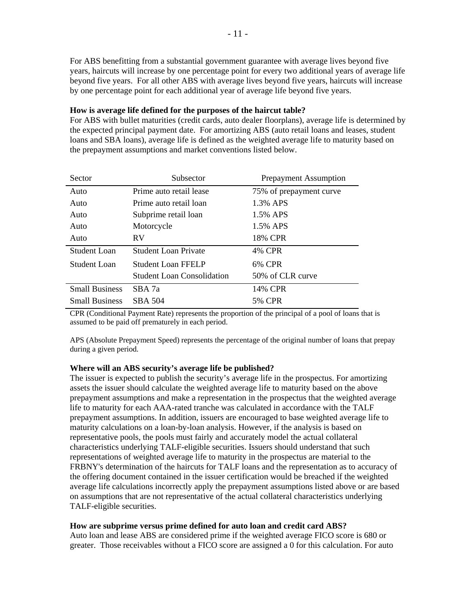For ABS benefitting from a substantial government guarantee with average lives beyond five years, haircuts will increase by one percentage point for every two additional years of average life beyond five years. For all other ABS with average lives beyond five years, haircuts will increase by one percentage point for each additional year of average life beyond five years.

## **How is average life defined for the purposes of the haircut table?**

For ABS with bullet maturities (credit cards, auto dealer floorplans), average life is determined by the expected principal payment date. For amortizing ABS (auto retail loans and leases, student loans and SBA loans), average life is defined as the weighted average life to maturity based on the prepayment assumptions and market conventions listed below.

| Sector                | Subsector                         | <b>Prepayment Assumption</b> |
|-----------------------|-----------------------------------|------------------------------|
| Auto                  | Prime auto retail lease           | 75% of prepayment curve      |
| Auto                  | Prime auto retail loan            | 1.3% APS                     |
| Auto                  | Subprime retail loan              | 1.5% APS                     |
| Auto                  | Motorcycle                        | 1.5% APS                     |
| Auto                  | <b>RV</b>                         | 18% CPR                      |
| Student Loan          | Student Loan Private              | 4% CPR                       |
| Student Loan          | Student Loan FFELP                | 6% CPR                       |
|                       | <b>Student Loan Consolidation</b> | 50% of CLR curve             |
| <b>Small Business</b> | SBA 7a                            | 14% CPR                      |
| <b>Small Business</b> | <b>SBA 504</b>                    | 5% CPR                       |

CPR (Conditional Payment Rate) represents the proportion of the principal of a pool of loans that is assumed to be paid off prematurely in each period.

APS (Absolute Prepayment Speed) represents the percentage of the original number of loans that prepay during a given period.

## **Where will an ABS security's average life be published?**

The issuer is expected to publish the security's average life in the prospectus. For amortizing assets the issuer should calculate the weighted average life to maturity based on the above prepayment assumptions and make a representation in the prospectus that the weighted average life to maturity for each AAA-rated tranche was calculated in accordance with the TALF prepayment assumptions. In addition, issuers are encouraged to base weighted average life to maturity calculations on a loan-by-loan analysis. However, if the analysis is based on representative pools, the pools must fairly and accurately model the actual collateral characteristics underlying TALF-eligible securities. Issuers should understand that such representations of weighted average life to maturity in the prospectus are material to the FRBNY's determination of the haircuts for TALF loans and the representation as to accuracy of the offering document contained in the issuer certification would be breached if the weighted average life calculations incorrectly apply the prepayment assumptions listed above or are based on assumptions that are not representative of the actual collateral characteristics underlying TALF-eligible securities.

#### **How are subprime versus prime defined for auto loan and credit card ABS?**

Auto loan and lease ABS are considered prime if the weighted average FICO score is 680 or greater. Those receivables without a FICO score are assigned a 0 for this calculation. For auto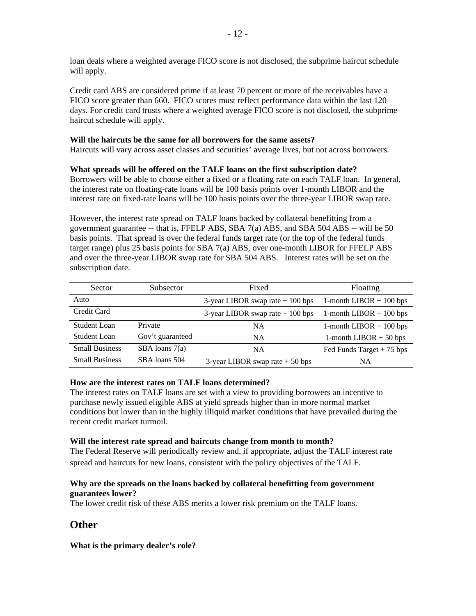loan deals where a weighted average FICO score is not disclosed, the subprime haircut schedule will apply.

Credit card ABS are considered prime if at least 70 percent or more of the receivables have a FICO score greater than 660. FICO scores must reflect performance data within the last 120 days. For credit card trusts where a weighted average FICO score is not disclosed, the subprime haircut schedule will apply.

## **Will the haircuts be the same for all borrowers for the same assets?**

Haircuts will vary across asset classes and securities' average lives, but not across borrowers.

## **What spreads will be offered on the TALF loans on the first subscription date?**

Borrowers will be able to choose either a fixed or a floating rate on each TALF loan. In general, the interest rate on floating-rate loans will be 100 basis points over 1-month LIBOR and the interest rate on fixed-rate loans will be 100 basis points over the three-year LIBOR swap rate.

However, the interest rate spread on TALF loans backed by collateral benefitting from a government guarantee  $-$ - that is, FFELP ABS, SBA 7(a) ABS, and SBA 504 ABS  $-$ - will be 50 basis points. That spread is over the federal funds target rate (or the top of the federal funds target range) plus 25 basis points for SBA 7(a) ABS, over one-month LIBOR for FFELP ABS and over the three-year LIBOR swap rate for SBA 504 ABS. Interest rates will be set on the subscription date.

| <b>Sector</b>         | Subsector          | Fixed                             | Floating                   |  |  |
|-----------------------|--------------------|-----------------------------------|----------------------------|--|--|
| Auto                  |                    | 3-year LIBOR swap rate $+100$ bps | 1-month LIBOR $+$ 100 bps  |  |  |
| Credit Card           |                    | 3-year LIBOR swap rate $+100$ bps | 1-month LIBOR $+$ 100 bps  |  |  |
| Student Loan          | Private            | <b>NA</b>                         | 1-month LIBOR $+$ 100 bps  |  |  |
| Student Loan          | Gov't guaranteed   | <b>NA</b>                         | 1-month LIBOR $+ 50$ bps   |  |  |
| <b>Small Business</b> | $SBA$ loans $7(a)$ | <b>NA</b>                         | Fed Funds Target $+75$ bps |  |  |
| <b>Small Business</b> | SBA loans 504      | 3-year LIBOR swap rate $+50$ bps  | NA                         |  |  |

#### **How are the interest rates on TALF loans determined?**

The interest rates on TALF loans are set with a view to providing borrowers an incentive to purchase newly issued eligible ABS at yield spreads higher than in more normal market conditions but lower than in the highly illiquid market conditions that have prevailed during the recent credit market turmoil.

#### **Will the interest rate spread and haircuts change from month to month?**

The Federal Reserve will periodically review and, if appropriate, adjust the TALF interest rate spread and haircuts for new loans, consistent with the policy objectives of the TALF.

## **Why are the spreads on the loans backed by collateral benefitting from government guarantees lower?**

The lower credit risk of these ABS merits a lower risk premium on the TALF loans.

# **Other**

**What is the primary dealer's role?**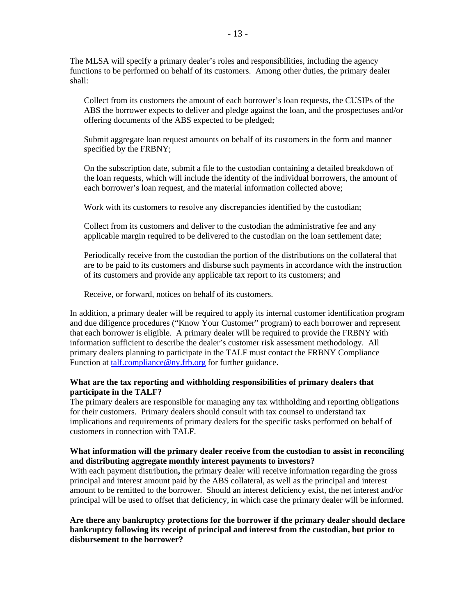The MLSA will specify a primary dealer's roles and responsibilities, including the agency functions to be performed on behalf of its customers. Among other duties, the primary dealer shall:

Collect from its customers the amount of each borrower's loan requests, the CUSIPs of the ABS the borrower expects to deliver and pledge against the loan, and the prospectuses and/or offering documents of the ABS expected to be pledged;

Submit aggregate loan request amounts on behalf of its customers in the form and manner specified by the FRBNY;

On the subscription date, submit a file to the custodian containing a detailed breakdown of the loan requests, which will include the identity of the individual borrowers, the amount of each borrower's loan request, and the material information collected above;

Work with its customers to resolve any discrepancies identified by the custodian;

Collect from its customers and deliver to the custodian the administrative fee and any applicable margin required to be delivered to the custodian on the loan settlement date;

Periodically receive from the custodian the portion of the distributions on the collateral that are to be paid to its customers and disburse such payments in accordance with the instruction of its customers and provide any applicable tax report to its customers; and

Receive, or forward, notices on behalf of its customers.

In addition, a primary dealer will be required to apply its internal customer identification program and due diligence procedures ("Know Your Customer" program) to each borrower and represent that each borrower is eligible. A primary dealer will be required to provide the FRBNY with information sufficient to describe the dealer's customer risk assessment methodology. All primary dealers planning to participate in the TALF must contact the FRBNY Compliance Function at [talf.compliance@ny.frb.org](mailto:talf.compliance@ny.frb.org) for further guidance.

## **What are the tax reporting and withholding responsibilities of primary dealers that participate in the TALF?**

The primary dealers are responsible for managing any tax withholding and reporting obligations for their customers. Primary dealers should consult with tax counsel to understand tax implications and requirements of primary dealers for the specific tasks performed on behalf of customers in connection with TALF.

## **What information will the primary dealer receive from the custodian to assist in reconciling and distributing aggregate monthly interest payments to investors?**

With each payment distribution**,** the primary dealer will receive information regarding the gross principal and interest amount paid by the ABS collateral, as well as the principal and interest amount to be remitted to the borrower. Should an interest deficiency exist, the net interest and/or principal will be used to offset that deficiency, in which case the primary dealer will be informed.

## **Are there any bankruptcy protections for the borrower if the primary dealer should declare bankruptcy following its receipt of principal and interest from the custodian, but prior to disbursement to the borrower?**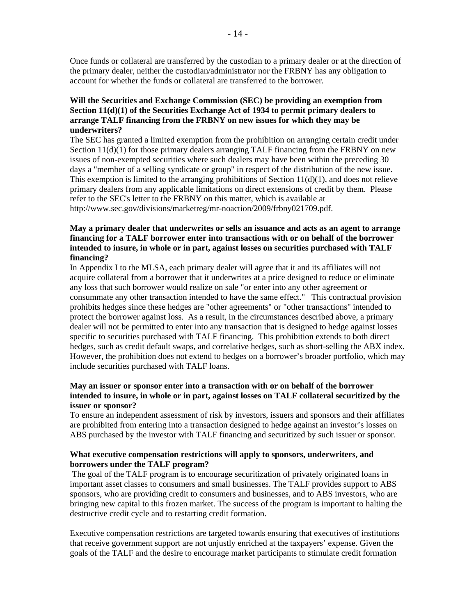Once funds or collateral are transferred by the custodian to a primary dealer or at the direction of the primary dealer, neither the custodian/administrator nor the FRBNY has any obligation to account for whether the funds or collateral are transferred to the borrower*.*

## **Will the Securities and Exchange Commission (SEC) be providing an exemption from Section 11(d)(1) of the Securities Exchange Act of 1934 to permit primary dealers to arrange TALF financing from the FRBNY on new issues for which they may be underwriters?**

The SEC has granted a limited exemption from the prohibition on arranging certain credit under Section  $11(d)(1)$  for those primary dealers arranging TALF financing from the FRBNY on new issues of non-exempted securities where such dealers may have been within the preceding 30 days a "member of a selling syndicate or group" in respect of the distribution of the new issue. This exemption is limited to the arranging prohibitions of Section  $11(d)(1)$ , and does not relieve primary dealers from any applicable limitations on direct extensions of credit by them. Please refer to the SEC's letter to the FRBNY on this matter, which is available at http://www.sec.gov/divisions/marketreg/mr-noaction/2009/frbny021709.pdf.

## **May a primary dealer that underwrites or sells an issuance and acts as an agent to arrange financing for a TALF borrower enter into transactions with or on behalf of the borrower intended to insure, in whole or in part, against losses on securities purchased with TALF financing?**

In Appendix I to the MLSA, each primary dealer will agree that it and its affiliates will not acquire collateral from a borrower that it underwrites at a price designed to reduce or eliminate any loss that such borrower would realize on sale "or enter into any other agreement or consummate any other transaction intended to have the same effect." This contractual provision prohibits hedges since these hedges are "other agreements" or "other transactions" intended to protect the borrower against loss. As a result, in the circumstances described above, a primary dealer will not be permitted to enter into any transaction that is designed to hedge against losses specific to securities purchased with TALF financing. This prohibition extends to both direct hedges, such as credit default swaps, and correlative hedges, such as short-selling the ABX index. However, the prohibition does not extend to hedges on a borrower's broader portfolio, which may include securities purchased with TALF loans.

## **May an issuer or sponsor enter into a transaction with or on behalf of the borrower intended to insure, in whole or in part, against losses on TALF collateral securitized by the issuer or sponsor?**

To ensure an independent assessment of risk by investors, issuers and sponsors and their affiliates are prohibited from entering into a transaction designed to hedge against an investor's losses on ABS purchased by the investor with TALF financing and securitized by such issuer or sponsor.

## **What executive compensation restrictions will apply to sponsors, underwriters, and borrowers under the TALF program?**

 The goal of the TALF program is to encourage securitization of privately originated loans in important asset classes to consumers and small businesses. The TALF provides support to ABS sponsors, who are providing credit to consumers and businesses, and to ABS investors, who are bringing new capital to this frozen market. The success of the program is important to halting the destructive credit cycle and to restarting credit formation.

Executive compensation restrictions are targeted towards ensuring that executives of institutions that receive government support are not unjustly enriched at the taxpayers' expense. Given the goals of the TALF and the desire to encourage market participants to stimulate credit formation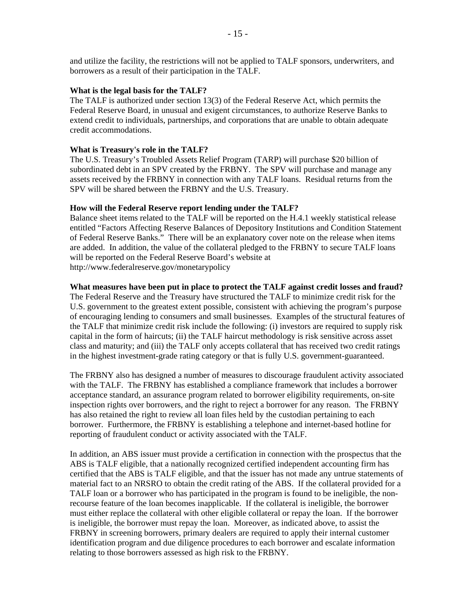and utilize the facility, the restrictions will not be applied to TALF sponsors, underwriters, and borrowers as a result of their participation in the TALF.

#### **What is the legal basis for the TALF?**

The TALF is authorized under section 13(3) of the Federal Reserve Act, which permits the Federal Reserve Board, in unusual and exigent circumstances, to authorize Reserve Banks to extend credit to individuals, partnerships, and corporations that are unable to obtain adequate credit accommodations.

#### **What is Treasury's role in the TALF?**

The U.S. Treasury's Troubled Assets Relief Program (TARP) will purchase \$20 billion of subordinated debt in an SPV created by the FRBNY. The SPV will purchase and manage any assets received by the FRBNY in connection with any TALF loans. Residual returns from the SPV will be shared between the FRBNY and the U.S. Treasury.

#### **How will the Federal Reserve report lending under the TALF?**

Balance sheet items related to the TALF will be reported on the H.4.1 weekly statistical release entitled "Factors Affecting Reserve Balances of Depository Institutions and Condition Statement of Federal Reserve Banks." There will be an explanatory cover note on the release when items are added. In addition, the value of the collateral pledged to the FRBNY to secure TALF loans will be reported on the Federal Reserve Board's website at http://www.federalreserve.gov/monetarypolicy

#### **What measures have been put in place to protect the TALF against credit losses and fraud?**

The Federal Reserve and the Treasury have structured the TALF to minimize credit risk for the U.S. government to the greatest extent possible, consistent with achieving the program's purpose of encouraging lending to consumers and small businesses. Examples of the structural features of the TALF that minimize credit risk include the following: (i) investors are required to supply risk capital in the form of haircuts; (ii) the TALF haircut methodology is risk sensitive across asset class and maturity; and (iii) the TALF only accepts collateral that has received two credit ratings in the highest investment-grade rating category or that is fully U.S. government-guaranteed.

The FRBNY also has designed a number of measures to discourage fraudulent activity associated with the TALF. The FRBNY has established a compliance framework that includes a borrower acceptance standard, an assurance program related to borrower eligibility requirements, on-site inspection rights over borrowers, and the right to reject a borrower for any reason. The FRBNY has also retained the right to review all loan files held by the custodian pertaining to each borrower. Furthermore, the FRBNY is establishing a telephone and internet-based hotline for reporting of fraudulent conduct or activity associated with the TALF.

In addition, an ABS issuer must provide a certification in connection with the prospectus that the ABS is TALF eligible, that a nationally recognized certified independent accounting firm has certified that the ABS is TALF eligible, and that the issuer has not made any untrue statements of material fact to an NRSRO to obtain the credit rating of the ABS. If the collateral provided for a TALF loan or a borrower who has participated in the program is found to be ineligible, the nonrecourse feature of the loan becomes inapplicable. If the collateral is ineligible, the borrower must either replace the collateral with other eligible collateral or repay the loan. If the borrower is ineligible, the borrower must repay the loan. Moreover, as indicated above, to assist the FRBNY in screening borrowers, primary dealers are required to apply their internal customer identification program and due diligence procedures to each borrower and escalate information relating to those borrowers assessed as high risk to the FRBNY.